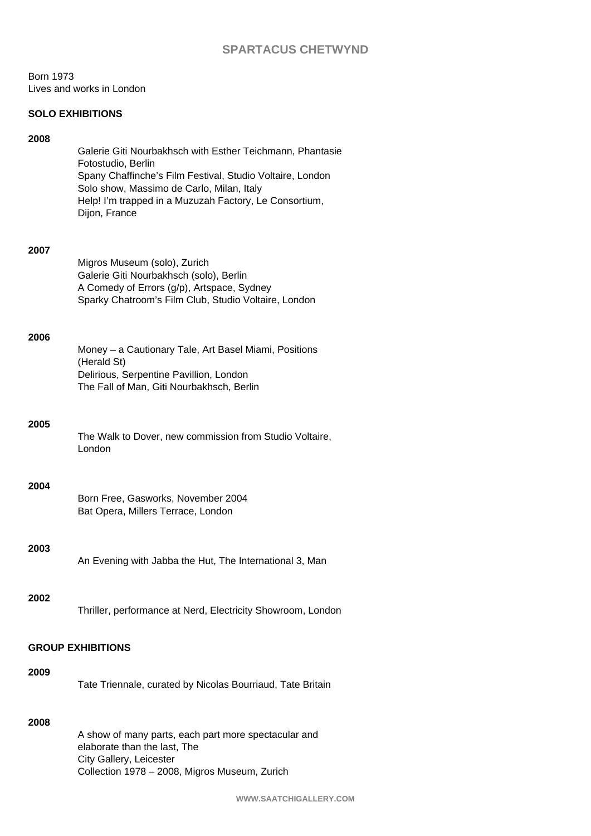# **SPARTACUS CHETWYND**

Born 1973 Lives and works in London

## **SOLO EXHIBITIONS**

## **2008**

Galerie Giti Nourbakhsch with Esther Teichmann, Phantasie Fotostudio, Berlin Spany Chaffinche's Film Festival, Studio Voltaire, London Solo show, Massimo de Carlo, Milan, Italy Help! I'm trapped in a Muzuzah Factory, Le Consortium, Dijon, France

#### **2007**

Migros Museum (solo), Zurich Galerie Giti Nourbakhsch (solo), Berlin A Comedy of Errors (g/p), Artspace, Sydney Sparky Chatroom's Film Club, Studio Voltaire, London

#### **2006**

Money – a Cautionary Tale, Art Basel Miami, Positions (Herald St) Delirious, Serpentine Pavillion, London The Fall of Man, Giti Nourbakhsch, Berlin

### **2005**

The Walk to Dover, new commission from Studio Voltaire, London

#### **2004**

Born Free, Gasworks, November 2004 Bat Opera, Millers Terrace, London

# **2003**

An Evening with Jabba the Hut, The International 3, Man

# **2002**

Thriller, performance at Nerd, Electricity Showroom, London

# **GROUP EXHIBITIONS**

### **2009**

Tate Triennale, curated by Nicolas Bourriaud, Tate Britain

# **2008**

A show of many parts, each part more spectacular and elaborate than the last, The City Gallery, Leicester Collection 1978 – 2008, Migros Museum, Zurich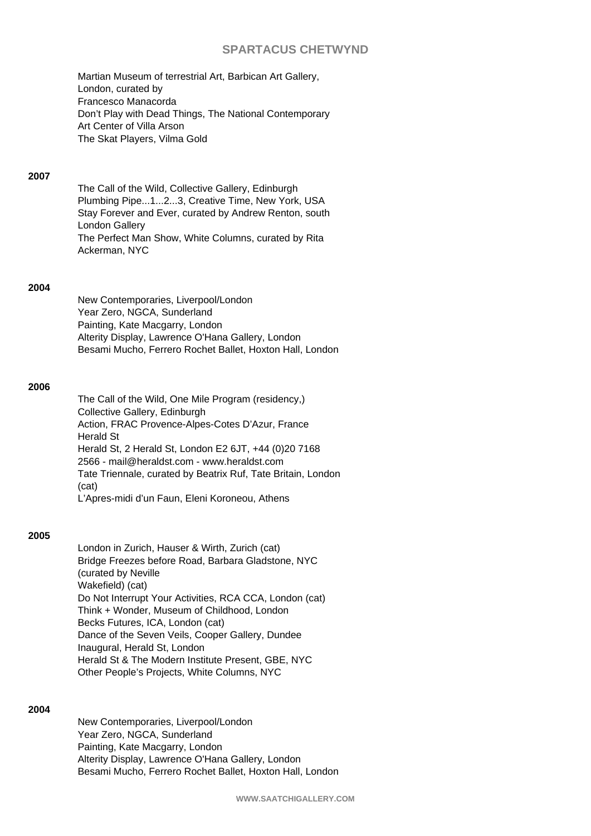# **SPARTACUS CHETWYND**

Martian Museum of terrestrial Art, Barbican Art Gallery, London, curated by Francesco Manacorda Don't Play with Dead Things, The National Contemporary Art Center of Villa Arson The Skat Players, Vilma Gold

### **2007**

The Call of the Wild, Collective Gallery, Edinburgh Plumbing Pipe...1...2...3, Creative Time, New York, USA Stay Forever and Ever, curated by Andrew Renton, south London Gallery The Perfect Man Show, White Columns, curated by Rita Ackerman, NYC

## **2004**

New Contemporaries, Liverpool/London Year Zero, NGCA, Sunderland Painting, Kate Macgarry, London Alterity Display, Lawrence O'Hana Gallery, London Besami Mucho, Ferrero Rochet Ballet, Hoxton Hall, London

## **2006**

The Call of the Wild, One Mile Program (residency,) Collective Gallery, Edinburgh Action, FRAC Provence-Alpes-Cotes D'Azur, France Herald St Herald St, 2 Herald St, London E2 6JT, +44 (0)20 7168 2566 - mail@heraldst.com - www.heraldst.com Tate Triennale, curated by Beatrix Ruf, Tate Britain, London (cat) L'Apres-midi d'un Faun, Eleni Koroneou, Athens

#### **2005**

London in Zurich, Hauser & Wirth, Zurich (cat) Bridge Freezes before Road, Barbara Gladstone, NYC (curated by Neville Wakefield) (cat) Do Not Interrupt Your Activities, RCA CCA, London (cat) Think + Wonder, Museum of Childhood, London Becks Futures, ICA, London (cat) Dance of the Seven Veils, Cooper Gallery, Dundee Inaugural, Herald St, London Herald St & The Modern Institute Present, GBE, NYC Other People's Projects, White Columns, NYC

## **2004**

New Contemporaries, Liverpool/London Year Zero, NGCA, Sunderland Painting, Kate Macgarry, London Alterity Display, Lawrence O'Hana Gallery, London Besami Mucho, Ferrero Rochet Ballet, Hoxton Hall, London